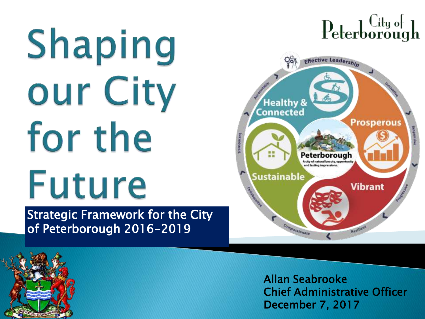# Shaping our City for the Future Strategic Framework for the City

of Peterborough 2016-2019

## $\text{Peterborough}$



Allan Seabrooke Chief Administrative Officer December 7, 2017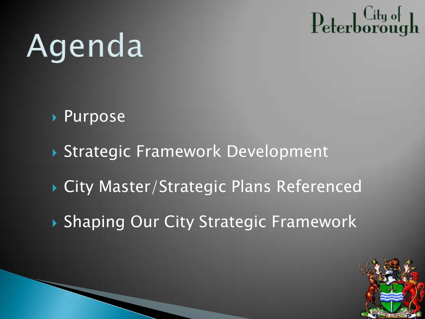# Agenda

- Purpose
- Strategic Framework Development
- ▶ City Master/Strategic Plans Referenced
- ▶ Shaping Our City Strategic Framework

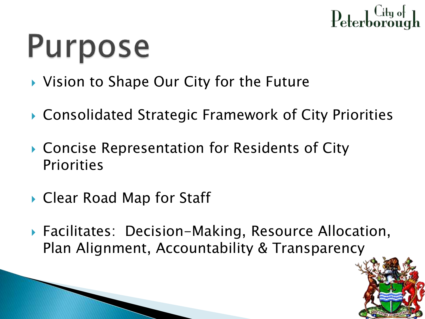

# **Purpose**

- ▶ Vision to Shape Our City for the Future
- Consolidated Strategic Framework of City Priorities
- ▶ Concise Representation for Residents of City Priorities
- ▶ Clear Road Map for Staff
- ▶ Facilitates: Decision-Making, Resource Allocation, Plan Alignment, Accountability & Transparency

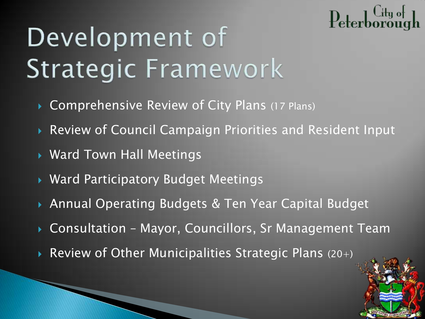#### ենք օք<br>հուշացի Peterb

## Development of **Strategic Framework**

- ▶ Comprehensive Review of City Plans (17 Plans)
- Review of Council Campaign Priorities and Resident Input
- Ward Town Hall Meetings
- Ward Participatory Budget Meetings
- Annual Operating Budgets & Ten Year Capital Budget
- Consultation Mayor, Councillors, Sr Management Team
- Review of Other Municipalities Strategic Plans (20+)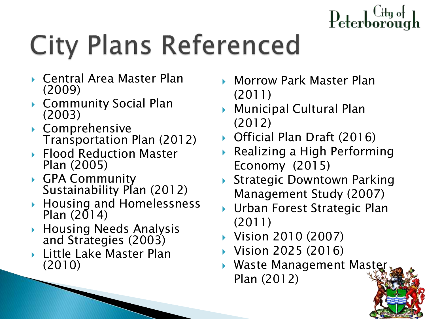# **City Plans Referenced**

- Central Area Master Plan (2009)
- Community Social Plan (2003)
- Comprehensive Transportation Plan (2012)
- ▶ Flood Reduction Master Plan (2005)
- ▶ GPA Community Sustainability Plan (2012)
- ▶ Housing and Homelessness Plan  $(2014)$
- Housing Needs Analysis and Strategies (2003)
- Little Lake Master Plan (2010)
- ▶ Morrow Park Master Plan (2011)
- Municipal Cultural Plan (2012)
- ▶ Official Plan Draft (2016)
- Realizing a High Performing Economy (2015)
- ▶ Strategic Downtown Parking Management Study (2007)
- ▶ Urban Forest Strategic Plan (2011)
- ▶ Vision 2010 (2007)
- ▶ Vision 2025 (2016)
- ▶ Waste Management Maste Plan (2012)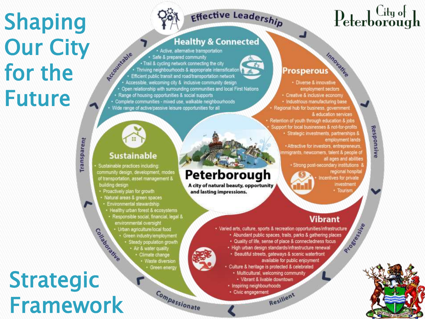#### **Shaping Our City** for the **Future**



Peterborough

and lasting impressions.

A city of natural beauty, opportunity

#### **Healthy & Connected**

REGUMANIE Active, alternative transportation Safe & prepared community  $\frac{d}{dt}$ · Trail & cycling network connecting the city Thriving neighbourhoods & appropriate intensification Efficient public transit and road/transportation network Accessible, welcoming city & inclusive community design Open relationship with surrounding communities and local First Nations · Range of housing opportunities & social supports · Complete communities - mixed use, walkable neighbourhoods · Wide range of active/passive leisure opportunities for all

#### **Sustainable**

Sustainable practices including community design, development, modes of transportation, asset management & building design

- · Proactively plan for growth
- · Natural areas & green spaces
- Environmental stewardship
- · Healthy urban forest & ecosystems
- · Responsible social, financial, legal & environmental oversight
	- · Urban agriculture/local food
		- · Green industry/employment
			- · Steady population growth
			- · Air & water quality
				- · Climate change · Waste diversion
					- Green energy

Compassionate

## Constablishing **Strategic Framework**

Transparent

### $Peterborough$

Responsive

#### Innovanue Prosperous

- · Diverse & innovative employment sectors · Creative & inclusive economy · Industrious manufacturing base Regional hub for business, government & education services
- Retention of youth through education & jobs Support for local businesses & not-for-profits · Strategic investments, partnerships &
	- employment lands
	- · Attractive for investors, entrepreneurs, nmigrants, newcomers, talent & people of all ages and abilities
		- · Strong post-secondary institutions
			- regional hospital Incentives for private investment
				- · Tourism

#### **Vibrant**

- Rroaderer Kie · Varied arts, culture, sports & recreation opportunities/infrastructure · Abundant public spaces, trails, parks & gathering places · Quality of life, sense of place & connectedness focus · High urban design standards/infrastructure renewal · Beautiful streets, gateways & scenic waterfront available for public enjoyment Culture & heritage is protected & celebrated · Multicultural, welcoming community
	- · Vibrant & livable downtown
	- · Inspiring neighbourhoods
	- · Civic engagement

Resilient

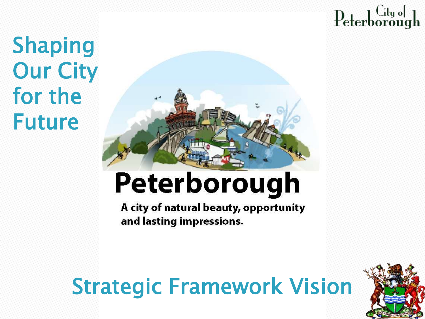Shaping **Our City** for the Future



## Peterborough

A city of natural beauty, opportunity and lasting impressions.

### Strategic Framework Vision

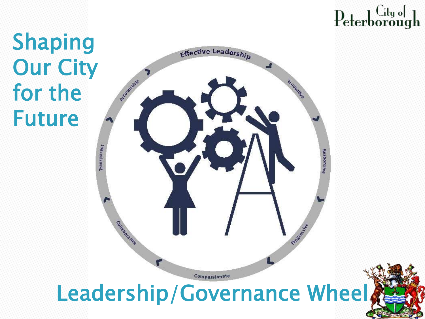#### Shaping Our City for the Future

**Effective Leadership** Ricountable Innovalia Transparent Responsiv Corrected Cive Progress in the Compassionate Leadership/Governance Wheel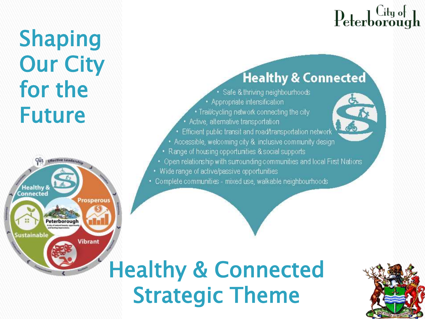#### **Healthy & Connected**

- · Safe & thriving neighbourhoods • Appropriate intensification
- Trail/cycling network connecting the city
- Active, alternative transportation
- Efficient public transit and road/transportation network
- Accessible, welcoming city & inclusive community design
- Range of housing opportunities & social supports
- Open relationship with sumounding communities and local First Nations
- Wide range of active/passive opportunities

**Shaping** 

**Our City** 

for the

**Future** 

Peterborough

rosperous

**Vibrant** 

**Healthy &** Connected

ustainable

· Complete communities - mixed use, walkable neighbourhoods

#### **Healthy & Connected Strategic Theme**

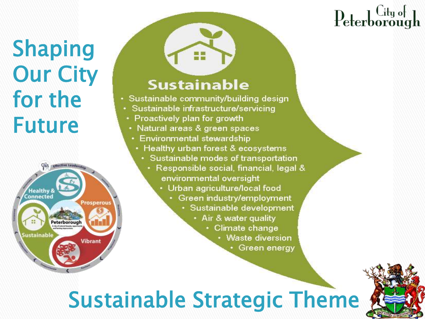#### **Shaping Our City** for the **Future**



#### **Sustainable**

**SIS 845** 

- Sustainable community/building design
- Sustainable infrastructure/servicing
- Proactively plan for growth
- Natural areas & green spaces
	- Environmental stewardship
	- Healthy urban forest & ecosystems
	- · Sustainable modes of transportation
		- · Responsible social, financial, legal & environmental oversight
			- Urban agriculture/local food
				- · Green industry/employment
					- · Sustainable development
						- Air & water quality
							- Climate change
								- Waste diversion
									- Green energy

#### **Sustainable Strategic Theme**

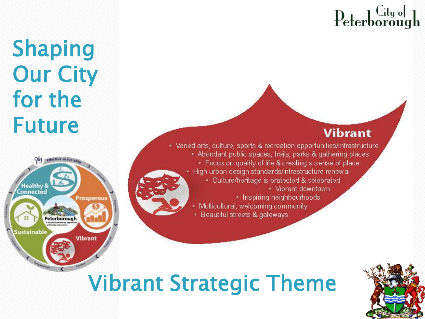#### **Vibrant**

• Varied arts, culture, sports & recreation opportunities/infrastructure • Abundant public spaces, trails, parks & gathering places • Focus on quality of life & creating a sense of place · High urban design standards/infrastructure renewal · Culture/heritage is protected & celebrated • Vibrant downtown · Inspiring neighbourhoods Multicultural, welcoming community

• Beautiful streets & gateways

#### **Vibrant Strategic Theme**

**Shaping** 

**Our City** 

for the

**Future** 

**Healthy &** 

Peterborough

Prosperous

**Vibrant** 

Connected

Sustainable

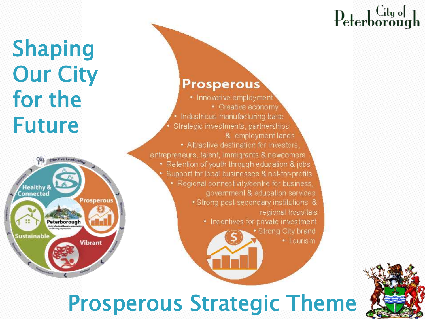#### Shaping Our City for the Future



#### **Prosperous**

• Innovative employment • Creative economy • Industrious manufacturing base Strategic investments, partnerships & employment lands • Attractive destination for investors. entrepreneurs, talent, immigrants & newcomers • Retention of youth through education & jobs Support for local businesses & not-for-profits • Regional connectivity/centre for business, government & education services · Strong post-secondary institutions & regional hospitals • Incentives for private investment · Strong City brand • Tourism

#### Prosperous Strategic Theme